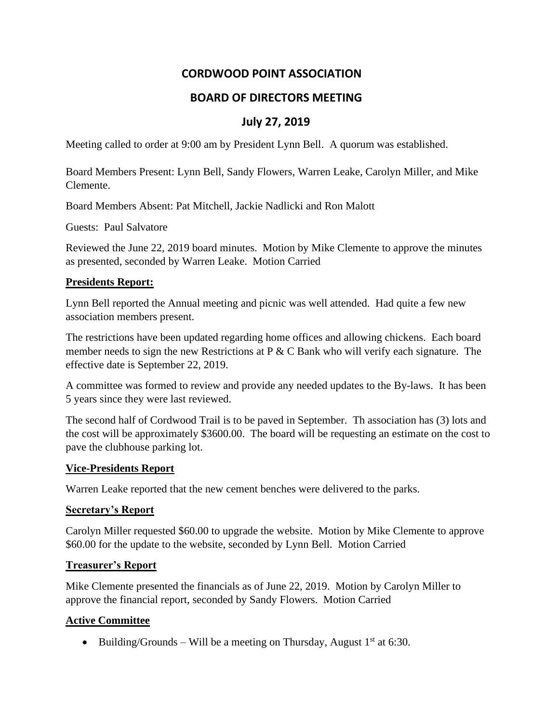# **CORDWOOD POINT ASSOCIATION**

# **BOARD OF DIRECTORS MEETING**

# **July 27, 2019**

Meeting called to order at 9:00 am by President Lynn Bell. A quorum was established.

Board Members Present: Lynn Bell, Sandy Flowers, Warren Leake, Carolyn Miller, and Mike Clemente.

Board Members Absent: Pat Mitchell, Jackie Nadlicki and Ron Malott

Guests: Paul Salvatore

Reviewed the June 22, 2019 board minutes. Motion by Mike Clemente to approve the minutes as presented, seconded by Warren Leake. Motion Carried

#### **Presidents Report:**

Lynn Bell reported the Annual meeting and picnic was well attended. Had quite a few new association members present.

The restrictions have been updated regarding home offices and allowing chickens. Each board member needs to sign the new Restrictions at P & C Bank who will verify each signature. The effective date is September 22, 2019.

A committee was formed to review and provide any needed updates to the By-laws. It has been 5 years since they were last reviewed.

The second half of Cordwood Trail is to be paved in September. Th association has (3) lots and the cost will be approximately \$3600.00. The board will be requesting an estimate on the cost to pave the clubhouse parking lot.

### **Vice-Presidents Report**

Warren Leake reported that the new cement benches were delivered to the parks.

### **Secretary's Report**

Carolyn Miller requested \$60.00 to upgrade the website. Motion by Mike Clemente to approve \$60.00 for the update to the website, seconded by Lynn Bell. Motion Carried

#### **Treasurer's Report**

Mike Clemente presented the financials as of June 22, 2019. Motion by Carolyn Miller to approve the financial report, seconded by Sandy Flowers. Motion Carried

### **Active Committee**

• Building/Grounds – Will be a meeting on Thursday, August  $1<sup>st</sup>$  at 6:30.